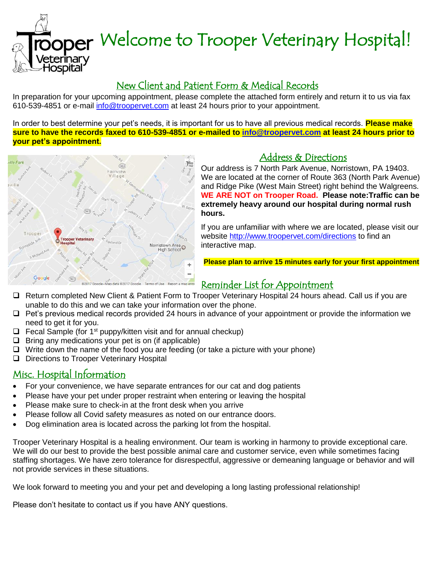oper Welcome to Trooper Veterinary Hospital!

### New Client and Patient Form & Medical Records

In preparation for your upcoming appointment, please complete the attached form entirely and return it to us via fax 610-539-4851 or e-mail [info@troopervet.com](mailto:info@troopervet.com) at least 24 hours prior to your appointment.

In order to best determine your pet's needs, it is important for us to have all previous medical records. **Please make sure to have the records faxed to 610-539-4851 or e-mailed to [info@troopervet.com](mailto:info@troopervet.com) at least 24 hours prior to your pet's appointment.**



### Address & Directions

Our address is 7 North Park Avenue, Norristown, PA 19403. We are located at the corner of Route 363 (North Park Avenue) and Ridge Pike (West Main Street) right behind the Walgreens. **WE ARE NOT on Trooper Road. Please note:Traffic can be extremely heavy around our hospital during normal rush hours.** Ī

If you are unfamiliar with where we are located, please visit our website<http://www.troopervet.com/directions> to find an interactive map.

**Please plan to arrive 15 minutes early for your first appointment**

## Reminder List for Appointment

- □ Return completed New Client & Patient Form to Trooper Veterinary Hospital 24 hours ahead. Call us if you are unable to do this and we can take your information over the phone.
- $\Box$  Pet's previous medical records provided 24 hours in advance of your appointment or provide the information we need to get it for you.
- $\Box$  Fecal Sample (for 1<sup>st</sup> puppy/kitten visit and for annual checkup)
- $\Box$  Bring any medications your pet is on (if applicable)
- $\Box$  Write down the name of the food you are feeding (or take a picture with your phone)
- D Directions to Trooper Veterinary Hospital

#### Misc. Hospital Information

'eterinary ospital

- For your convenience, we have separate entrances for our cat and dog patients
- Please have your pet under proper restraint when entering or leaving the hospital
- Please make sure to check-in at the front desk when you arrive
- Please follow all Covid safety measures as noted on our entrance doors.
- Dog elimination area is located across the parking lot from the hospital.

Trooper Veterinary Hospital is a healing environment. Our team is working in harmony to provide exceptional care. We will do our best to provide the best possible animal care and customer service, even while sometimes facing staffing shortages. We have zero tolerance for disrespectful, aggressive or demeaning language or behavior and will not provide services in these situations.

We look forward to meeting you and your pet and developing a long lasting professional relationship!

Please don't hesitate to contact us if you have ANY questions.